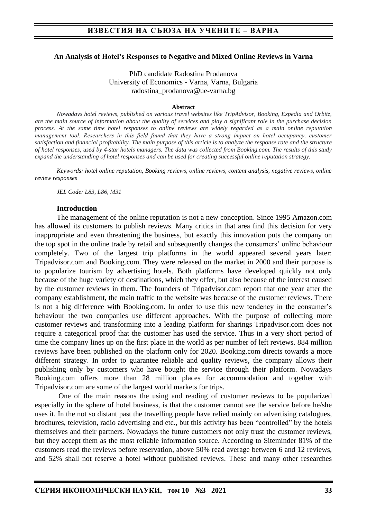#### **An Analysis of Hotel's Responses to Negative and Mixed Online Reviews in Varna**

PhD candidate Radostina Prodanova University of Economics - Varna, Varna, Bulgaria radostina\_prodanova@ue-varna.bg

#### **Abstract**

*Nowadays hotel reviews, published on various travel websites like TripAdvisor, Booking, Expedia and Orbitz, are the main source of information about the quality of services and play a significant role in the purchase decision process. At the same time hotel responses to online reviews are widely regarded as a main online reputation management tool. Researchers in this field found that they have a strong impact on hotel occupancy, customer satisfaction and financial profitability. The main purpose of this article is to analyze the response rate and the structure of hotel responses, used by 4-star hotels managers. The data was collected from Booking.com. The results of this study expand the understanding of hotel responses and can be used for creating successful online reputation strategy.*

*Keywords: hotel online reputation, Booking reviews, online reviews, content analysis, negative reviews, online review responses* 

*JEL Code: L83, L86, M31*

#### **Introduction**

The management of the online reputation is not a new conception. Since 1995 Amazon.com has allowed its customers to publish reviews. Many critics in that area find this decision for very inappropriate and even threatening the business, but exactly this innovation puts the company on the top spot in the online trade by retail and subsequently changes the consumers' online behaviour completely. Two of the largest trip platforms in the world appeared several years later: Tripadvisor.com and Booking.com. They were released on the market in 2000 and their purpose is to popularize tourism by advertising hotels. Both platforms have developed quickly not only because of the huge variety of destinations, which they offer, but also because of the interest caused by the customer reviews in them. The founders of Tripadvisor.com report that one year after the company establishment, the main traffic to the website was because of the customer reviews. There is not a big difference with Booking.com. In order to use this new tendency in the consumer's behaviour the two companies use different approaches. With the purpose of collecting more customer reviews and transforming into a leading platform for sharings Tripadvisor.com does not require a categorical proof that the customer has used the service. Thus in a very short period of time the company lines up on the first place in the world as per number of left reviews. 884 million reviews have been published on the platform only for 2020. Booking.com directs towards a more different strategy. In order to guarantee reliable and quality reviews, the company allows their publishing only by customers who have bought the service through their platform. Nowadays Booking.com offers more than 28 million places for accommodation and together with Tripadvisor.com are some of the largest world markets for trips.

One of the main reasons the using and reading of customer reviews to be popularized especially in the sphere of hotel business, is that the customer cannot see the service before he/she uses it. In the not so distant past the travelling people have relied mainly on advertising catalogues, brochures, television, radio advertising and etc., but this activity has been "controlled" by the hotels themselves and their partners. Nowadays the future customers not only trust the customer reviews, but they accept them as the most reliable information source. According to Siteminder 81% of the customers read the reviews before reservation, above 50% read average between 6 and 12 reviews, and 52% shall not reserve a hotel without published reviews. These and many other researches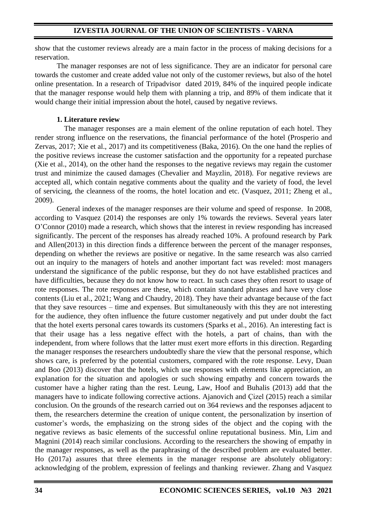show that the customer reviews already are a main factor in the process of making decisions for a reservation.

The manager responses are not of less significance. They are an indicator for personal care towards the customer and create added value not only of the customer reviews, but also of the hotel online presentation. In a research of Tripadvisor dated 2019, 84% of the inquired people indicate that the manager response would help them with planning a trip, and 89% of them indicate that it would change their initial impression about the hotel, caused by negative reviews.

### **1. Literature review**

 The manager responses are a main element of the online reputation of each hotel. They render strong influence on the reservations, the financial performance of the hotel (Prosperio and Zervas, 2017; Xie et al., 2017) and its competitiveness (Baka, 2016). On the one hand the replies of the positive reviews increase the customer satisfaction and the opportunity for a repeated purchase (Xie et al., 2014), on the other hand the responses to the negative reviews may regain the customer trust and minimize the caused damages (Chevalier and Mayzlin, 2018). For negative reviews are accepted all, which contain negative comments about the quality and the variety of food, the level of servicing, the cleanness of the rooms, the hotel location and etc. (Vasquez, 2011; Zheng et al., 2009).

General indexes of the manager responses are their volume and speed of response. In 2008, according to Vasquez (2014) the responses are only 1% towards the reviews. Several years later O'Connor (2010) made a research, which shows that the interest in review responding has increased significantly. The percent of the responses has already reached 10%. A profound research by Park and Allen(2013) in this direction finds a difference between the percent of the manager responses, depending on whether the reviews are positive or negative. In the same research was also carried out an inquiry to the managers of hotels and another important fact was reveled: most managers understand the significance of the public response, but they do not have established practices and have difficulties, because they do not know how to react. In such cases they often resort to usage of rote responses. The rote responses are these, which contain standard phrases and have very close contents (Liu et al., 2021; Wang and Chaudry, 2018). They have their advantage because of the fact that they save resources – time and expenses. But simultaneously with this they are not interesting for the audience, they often influence the future customer negatively and put under doubt the fact that the hotel exerts personal cares towards its customers (Sparks et al., 2016). An interesting fact is that their usage has a less negative effect with the hotels, a part of chains, than with the independent, from where follows that the latter must exert more efforts in this direction. Regarding the manager responses the researchers undoubtedly share the view that the personal response, which shows care, is preferred by the potential customers, compared with the rote response. Levy, Duan and Boo (2013) discover that the hotels, which use responses with elements like appreciation, an explanation for the situation and apologies or such showing empathy and concern towards the customer have a higher rating than the rest. Leung, Law, Hoof and Buhalis (2013) add that the managers have to indicate following corrective actions. Ajanovich and Çizel (2015) reach a similar conclusion. On the grounds of the research carried out on 364 reviews and the responses adjacent to them, the researchers determine the creation of unique content, the personalization by insertion of customer's words, the emphasizing on the strong sides of the object and the coping with the negative reviews as basic elements of the successful online reputational business. Min, Lim and Magnini (2014) reach similar conclusions. According to the researchers the showing of empathy in the manager responses, as well as the paraphrasing of the described problem are evaluated better. Ho (2017a) assures that three elements in the manager response are absolutely obligatory: acknowledging of the problem, expression of feelings and thanking reviewer. Zhang and Vasquez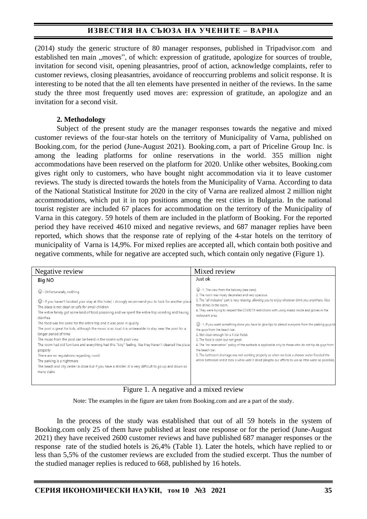(2014) study the generic structure of 80 manager responses, published in Tripadvisor.com and established ten main "moves", of which: expression of gratitude, apologize for sources of trouble, invitation for second visit, opening pleasantries, proof of action, acknowledge complaints, refer to customer reviews, closing pleasantries, avoidance of reoccurring problems and solicit response. It is interesting to be noted that the all ten elements have presented in neither of the reviews. In the same study the three most frequently used moves are: expression of gratitude, an apologize and an invitation for a second visit.

### **2. Methodology**

Subject of the present study are the manager responses towards the negative and mixed customer reviews of the four-star hotels on the territory of Municipality of Varna, published on Booking.com, for the period (June-August 2021). Booking.com, a part of Priceline Group Inc. is among the leading platforms for online reservations in the world. 355 million night accommodations have been reserved on the platform for 2020. Unlike other websites, Booking.com gives right only to customers, who have bought night accommodation via it to leave customer reviews. The study is directed towards the hotels from the Municipality of Varna. According to data of the National Statistical Institute for 2020 in the city of Varna are realized almost 2 million night accommodations, which put it in top positions among the rest cities in Bulgaria. In the national tourist register are included 67 places for accommodation on the territory of the Municipality of Varna in this category. 59 hotels of them are included in the platform of Booking. For the reported period they have received 4610 mixed and negative reviews, and 687 manager replies have been reported, which shows that the response rate of replying of the 4-star hotels on the territory of municipality of Varna is 14,9%. For mixed replies are accepted all, which contain both positive and negative comments, while for negative are accepted such, which contain only negative (Figure 1).

| Negative review                                                                                                                                                                                                                                                                                                                                                                                                                                                                                                                                                                                                                                                                                                                                                                                                                                                                                                    | Mixed review                                                                                                                                                                                                                                                                                                                                                                                                                                                                                                                                                                                                                                                                                                                                                                                                                                                                                                                                          |
|--------------------------------------------------------------------------------------------------------------------------------------------------------------------------------------------------------------------------------------------------------------------------------------------------------------------------------------------------------------------------------------------------------------------------------------------------------------------------------------------------------------------------------------------------------------------------------------------------------------------------------------------------------------------------------------------------------------------------------------------------------------------------------------------------------------------------------------------------------------------------------------------------------------------|-------------------------------------------------------------------------------------------------------------------------------------------------------------------------------------------------------------------------------------------------------------------------------------------------------------------------------------------------------------------------------------------------------------------------------------------------------------------------------------------------------------------------------------------------------------------------------------------------------------------------------------------------------------------------------------------------------------------------------------------------------------------------------------------------------------------------------------------------------------------------------------------------------------------------------------------------------|
| Big NO                                                                                                                                                                                                                                                                                                                                                                                                                                                                                                                                                                                                                                                                                                                                                                                                                                                                                                             | Just ok                                                                                                                                                                                                                                                                                                                                                                                                                                                                                                                                                                                                                                                                                                                                                                                                                                                                                                                                               |
| ⊙ Unfortunately, nothing<br>(2) If you haven't booked your stay at this hotel, i strongly recommend you to look for another place<br>The place is not clean or safe for small children<br>The entire family got some kind of food poisoning and we spent the entire trip vomiting and having<br>diarrhea<br>The food was the same for the entire trip and it was poor in quality<br>The pool is great for kids, although the music is so loud it is unbearable to stay near the pool for a<br>longer period of time<br>The music from the pool can be heard in the rooms with pool view<br>The room had old furniture and everything had this "icky" feeling, like they haven't cleaned the place<br>properly<br>There are no regulations regarding covid<br>The parking is a nightmare<br>The beach and city center is close but if you have a stroller, it is very difficult to go up and down so<br>many stairs | $\odot$ $\cdot$ 1. The view from the balcony (sea view).<br>2. The room was nicely decorated and very spacious.<br>3. The "all inclusive" part is very relaxing, allowing you to enjoy whatever drink you anywhere. Also<br>free drinks in the room.<br>4. They were trying to respect the COVID19 restrictions with using masks inside and gloves in the<br>restaurant area.<br>Q \cdot 1. If you want something done you have to give tips to almost everyone from the parking guys to<br>the guys from the beach bar.<br>2. Not clean enough for a 4 star hotel.<br>3. The food is okish but not great.<br>4. The "no reservation" policy of the sunbeds is applicable only to those who do not tip de quys from<br>the beach bar.<br>5. The bathroom drainage was not working properly so when we took a shower water flooded the<br>entire bathroom and it took a while until it dried (despite our efforts to use as little water as possible). |

Figure 1. A negative and a mixed review

Note: The examples in the figure are taken from Booking.com and are a part of the study.

In the process of the study was established that out of all 59 hotels in the system of Booking.com only 25 of them have published at least one response or for the period (June-August 2021) they have received 2600 customer reviews and have published 687 manager responses or the response rate of the studied hotels is 26,4% (Table 1). Later the hotels, which have replied to or less than 5,5% of the customer reviews are excluded from the studied excerpt. Thus the number of the studied manager replies is reduced to 668, published by 16 hotels.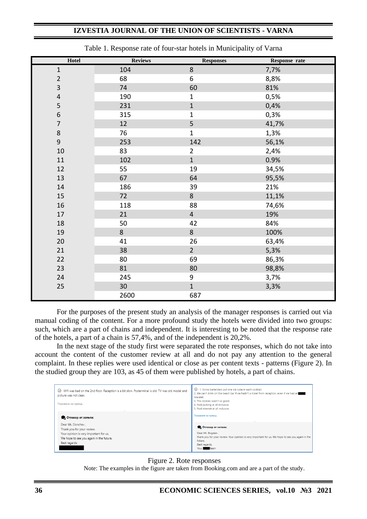| Hotel                   | <b>Reviews</b> | <b>Responses</b> | Response rate |
|-------------------------|----------------|------------------|---------------|
| $\mathbf 1$             | 104            | 8                | 7,7%          |
| $\overline{2}$          | 68             | 6                | 8,8%          |
| 3                       | 74             | 60               | 81%           |
| $\overline{\mathbf{r}}$ | 190            | $\mathbf{1}$     | 0,5%          |
| 5                       | 231            | $\mathbf 1$      | 0,4%          |
| 6                       | 315            | $\mathbf 1$      | 0,3%          |
| $\overline{7}$          | 12             | 5                | 41,7%         |
| $\,8\,$                 | 76             | $\mathbf 1$      | 1,3%          |
| $\boldsymbol{9}$        | 253            | 142              | 56,1%         |
| 10                      | 83             | $\overline{2}$   | 2,4%          |
| 11                      | 102            | $\mathbf{1}$     | 0.9%          |
| 12                      | 55             | 19               | 34,5%         |
| 13                      | 67             | 64               | 95,5%         |
| 14                      | 186            | 39               | 21%           |
| 15                      | 72             | 8                | 11,1%         |
| 16                      | 118            | 88               | 74,6%         |
| 17                      | 21             | $\overline{4}$   | 19%           |
| 18                      | 50             | 42               | 84%           |
| 19                      | 8              | 8                | 100%          |
| 20                      | 41             | 26               | 63,4%         |
| 21                      | 38             | $\overline{2}$   | 5,3%          |
| 22                      | 80             | 69               | 86,3%         |
| 23                      | 81             | 80               | 98,8%         |
| 24                      | 245            | 9                | 3,7%          |
| 25                      | 30             | $\mathbf{1}$     | 3,3%          |
|                         | 2600           | 687              |               |

Table 1. Response rate of four-star hotels in Municipality of Varna

For the purposes of the present study an analysis of the manager responses is carried out via manual coding of the content. For a more profound study the hotels were divided into two groups: such, which are a part of chains and independent. It is interesting to be noted that the response rate of the hotels, a part of a chain is 57,4%, and of the independent is 20,2%.

In the next stage of the study first were separated the rote responses, which do not take into account the content of the customer review at all and do not pay any attention to the general complaint. In these replies were used identical or close as per content texts - patterns (Figure 2). In the studied group they are 103, as 45 of them were published by hotels, a part of chains.

| (2) Wifi was bad on the 2nd floor. Reception is a bit slow. Posterminal is old. TV was old model and<br>picture was not clear.<br>Показване на превод | ⊙ · 1. Some bartenders put one ice cube in each cocktail.<br>2. We can't drink on the beach bar if we hadn't a ticket from reception, even if we had an<br>bracelet.<br>3. The cookies wasn't so good.<br>4. Paid parking at all inclusive.<br>5. Paid internet at all inclusive. |
|-------------------------------------------------------------------------------------------------------------------------------------------------------|-----------------------------------------------------------------------------------------------------------------------------------------------------------------------------------------------------------------------------------------------------------------------------------|
| Отговор от хотела:                                                                                                                                    | Показване на превод                                                                                                                                                                                                                                                               |
| Dear Mr. Donchev.<br>Thank you for your review.<br>Your opinion is very important for us.<br>We hope to see you again in the future.<br>Best regards, | Отговор от хотела:<br>Dear Mr. Bogdan,<br>thank you for your review. Your opinion is very important for us. We hope to see you again in the<br>future.<br>Best regards,<br>Team<br>Your                                                                                           |

#### Figure 2. Rote responses

Note: The examples in the figure are taken from Booking.com and are a part of the study.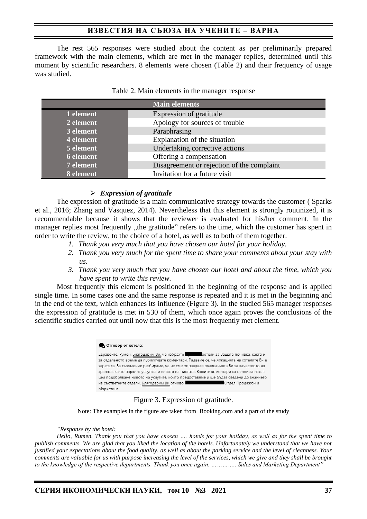The rest 565 responses were studied about the content as per preliminarily prepared framework with the main elements, which are met in the manager replies, determined until this moment by scientific researchers. 8 elements were chosen (Table 2) and their frequency of usage was studied.

|                  | <b>Main elements</b>                       |
|------------------|--------------------------------------------|
| 1 element        | Expression of gratitude                    |
| 2 element        | Apology for sources of trouble             |
| 3 element        | Paraphrasing                               |
| 4 element        | Explanation of the situation               |
| 5 element        | Undertaking corrective actions             |
| <b>6</b> element | Offering a compensation                    |
| 7 element        | Disagreement or rejection of the complaint |
| 8 element        | Invitation for a future visit              |

#### ➢ *Expression of gratitude*

The expression of gratitude is a main communicative strategy towards the customer ( Sparks et al., 2016; Zhang and Vasquez, 2014). Nevertheless that this element is strongly routinized, it is recommendable because it shows that the reviewer is evaluated for his/her comment. In the manager replies most frequently "the gratitude" refers to the time, which the customer has spent in order to write the review, to the choice of a hotel, as well as to both of them together.

- *1. Thank you very much that you have chosen our hotel for your holiday.*
- *2. Thank you very much for the spent time to share your comments about your stay with us.*
- *3. Thank you very much that you have chosen our hotel and about the time, which you have spent to write this review.*

Most frequently this element is positioned in the beginning of the response and is applied single time. In some cases one and the same response is repeated and it is met in the beginning and in the end of the text, which enhances its influence (Figure 3). In the studied 565 manager responses the expression of gratitude is met in 530 of them, which once again proves the conclusions of the scientific studies carried out until now that this is the most frequently met element.

| Отговор от хотела:                                                                       |
|------------------------------------------------------------------------------------------|
| Здравейте, Румен, Благодарим Ви, че избрахте по пристали за Вашата почивка, както и      |
| за отделеното време да публикувате коментари. Радваме се, че локацията на хотелите Ви е  |
| харесала. За съжаление разбираме, че не сме оправдали очакванията Ви за качеството на    |
| храната, както паркинг услугата и нивото на чистота. Вашите коментари са ценни за нас, с |
| цел подобряване нивото на услугите, които предоставяме и ще бъдат сведени до знанието    |
| на съответните отдели. Благодарим Ви отново. Подвидат продажби и                         |
| Маркетинг                                                                                |

#### Figure 3. Expression of gratitude.

Note: The examples in the figure are taken from Booking.com and a part of the study

#### *"Response by the hotel:*

*Hello, Rumen. Thank you that you have chosen …. hotels for your holiday, as well as for the spent time to publish comments. We are glad that you liked the location of the hotels. Unfortunately we understand that we have not justified your expectations about the food quality, as well as about the parking service and the level of cleanness. Your comments are valuable for us with purpose increasing the level of the services, which we give and they shall be brought to the knowledge of the respective departments. Thank you once again. ………….. Sales and Marketing Department"*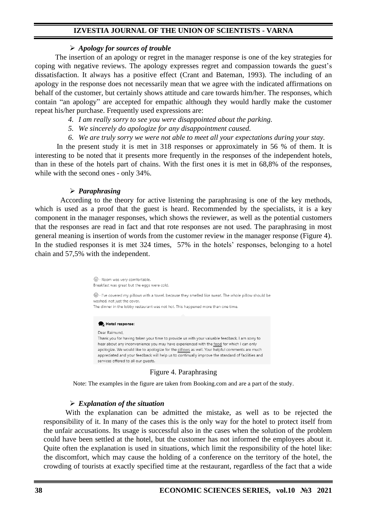#### ➢ *Apology for sources of trouble*

 The insertion of an apology or regret in the manager response is one of the key strategies for coping with negative reviews. The apology expresses regret and compassion towards the guest's dissatisfaction. It always has a positive effect (Crant and Bateman, 1993). The including of an apology in the response does not necessarily mean that we agree with the indicated affirmations on behalf of the customer, but certainly shows attitude and care towards him/her. The responses, which contain "an apology" are accepted for empathic although they would hardly make the customer repeat his/her purchase. Frequently used expressions are:

- *4. I am really sorry to see you were disappointed about the parking.*
- *5. We sincerely do apologize for any disappointment caused.*
- *6. We are truly sorry we were not able to meet all your expectations during your stay.*

In the present study it is met in 318 responses or approximately in 56 % of them. It is interesting to be noted that it presents more frequently in the responses of the independent hotels, than in these of the hotels part of chains. With the first ones it is met in 68,8% of the responses, while with the second ones - only 34%.

### ➢ *Paraphrasing*

 According to the theory for active listening the paraphrasing is one of the key methods, which is used as a proof that the guest is heard. Recommended by the specialists, it is a key component in the manager responses, which shows the reviewer, as well as the potential customers that the responses are read in fact and that rote responses are not used. The paraphrasing in most general meaning is insertion of words from the customer review in the manager response (Figure 4). In the studied responses it is met 324 times, 57% in the hotels' responses, belonging to a hotel chain and 57,5% with the independent.

| (€) Room was very comfortable.<br>Breakfast was great but the eggs were cold.                                                                                                                                                                                                                 |
|-----------------------------------------------------------------------------------------------------------------------------------------------------------------------------------------------------------------------------------------------------------------------------------------------|
| (2) · I've covered my pillows with a towel, because they smelled like sweat. The whole pillow should be<br>washed, not just the cover.                                                                                                                                                        |
| The dinner in the lobby restaurant was not hot. This happened more than one time.                                                                                                                                                                                                             |
|                                                                                                                                                                                                                                                                                               |
| Hotel response:                                                                                                                                                                                                                                                                               |
| Dear Raimund.                                                                                                                                                                                                                                                                                 |
| Thank you for having taken your time to provide us with your valuable feedback. I am sorry to                                                                                                                                                                                                 |
| hear about any inconvenience you may have experienced with the food for which I can only<br>apologize. We would like to apologize for the pillows as well. Your helpful comments are much<br>appreciated and your feedback will help us to continually improve the standard of facilities and |
| services offered to all our quests.                                                                                                                                                                                                                                                           |

Figure 4. Paraphrasing

Note: The examples in the figure are taken from Booking.com and are a part of the study.

#### ➢ *Explanation of the situation*

With the explanation can be admitted the mistake, as well as to be rejected the responsibility of it. In many of the cases this is the only way for the hotel to protect itself from the unfair accusations. Its usage is successful also in the cases when the solution of the problem could have been settled at the hotel, but the customer has not informed the employees about it. Quite often the explanation is used in situations, which limit the responsibility of the hotel like: the discomfort, which may cause the holding of a conference on the territory of the hotel, the crowding of tourists at exactly specified time at the restaurant, regardless of the fact that a wide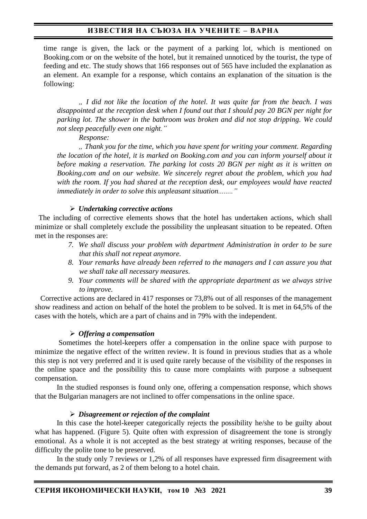time range is given, the lack or the payment of a parking lot, which is mentioned on Booking.com or on the website of the hotel, but it remained unnoticed by the tourist, the type of feeding and etc. The study shows that 166 responses out of 565 have included the explanation as an element. An example for a response, which contains an explanation of the situation is the following:

*" I did not like the location of the hotel. It was quite far from the beach. I was disappointed at the reception desk when I found out that I should pay 20 BGN per night for parking lot. The shower in the bathroom was broken and did not stop dripping. We could not sleep peacefully even one night."*

*Response:*

*" Thank you for the time, which you have spent for writing your comment. Regarding the location of the hotel, it is marked on Booking.com and you can inform yourself about it before making a reservation. The parking lot costs 20 BGN per night as it is written on Booking.com and on our website. We sincerely regret about the problem, which you had with the room. If you had shared at the reception desk, our employees would have reacted immediately in order to solve this unpleasant situation........"*

### ➢ *Undertaking corrective actions*

 The including of corrective elements shows that the hotel has undertaken actions, which shall minimize or shall completely exclude the possibility the unpleasant situation to be repeated. Often met in the responses are:

- *7. We shall discuss your problem with department Administration in order to be sure that this shall not repeat anymore.*
- *8. Your remarks have already been referred to the managers and I can assure you that we shall take all necessary measures.*
- *9. Your comments will be shared with the appropriate department as we always strive to improve.*

 Corrective actions are declared in 417 responses or 73,8% out of all responses of the management show readiness and action on behalf of the hotel the problem to be solved. It is met in 64,5% of the cases with the hotels, which are a part of chains and in 79% with the independent.

#### ➢ *Offering a compensation*

Sometimes the hotel-keepers offer a compensation in the online space with purpose to minimize the negative effect of the written review. It is found in previous studies that as a whole this step is not very preferred and it is used quite rarely because of the visibility of the responses in the online space and the possibility this to cause more complaints with purpose a subsequent compensation.

In the studied responses is found only one, offering a compensation response, which shows that the Bulgarian managers are not inclined to offer compensations in the online space.

#### ➢ *Disagreement or rejection of the complaint*

In this case the hotel-keeper categorically rejects the possibility he/she to be guilty about what has happened. (Figure 5). Quite often with expression of disagreement the tone is strongly emotional. As a whole it is not accepted as the best strategy at writing responses, because of the difficulty the polite tone to be preserved.

In the study only 7 reviews or 1,2% of all responses have expressed firm disagreement with the demands put forward, as 2 of them belong to a hotel chain.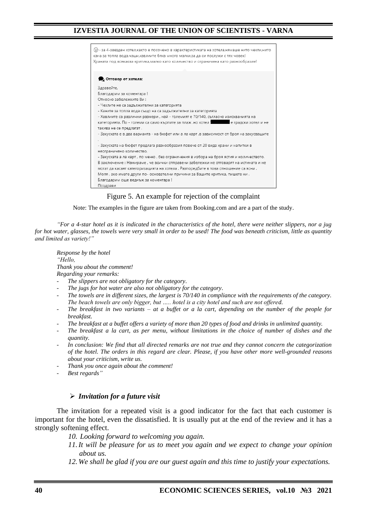

Figure 5. An example for rejection of the complaint

Note: The examples in the figure are taken from Booking.com and are a part of the study.

*"For a 4-star hotel as it is indicated in the characteristics of the hotel, there were neither slippers, nor a jug for hot water, glasses, the towels were very small in order to be used! The food was beneath criticism, little as quantity and limited as variety!"*

*Response by the hotel "Hello, Thank you about the comment! Regarding your remarks:* The slippers are not obligatory for the category.

- The jugs for hot water are also not obligatory for the category.
- *The towels are in different sizes, the largest is 70/140 in compliance with the requirements of the category. The beach towels are only bigger, but ….. hotel is a city hotel and such are not offered.*
- *The breakfast in two variants – at a buffet or a la cart, depending on the number of the people for breakfast.*
- *The breakfast at a buffet offers a variety of more than 20 types of food and drinks in unlimited quantity.*
- The breakfast a la cart, as per menu, without limitations in the choice of number of dishes and the *quantity.*
- *In conclusion: We find that all directed remarks are not true and they cannot concern the categorization of the hotel. The orders in this regard are clear. Please, if you have other more well-grounded reasons about your criticism, write us.*
- *Thank you once again about the comment!*
- *Best regards"*

#### ➢ *Invitation for a future visit*

The invitation for a repeated visit is a good indicator for the fact that each customer is important for the hotel, even the dissatisfied. It is usually put at the end of the review and it has a strongly softening effect.

*10. Looking forward to welcoming you again.*

- *11.It will be pleasure for us to meet you again and we expect to change your opinion about us.*
- *12. We shall be glad if you are our guest again and this time to justify your expectations.*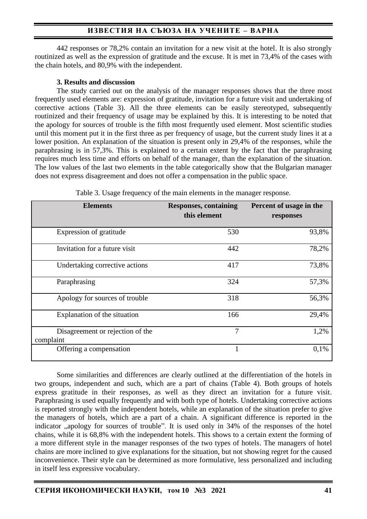442 responses or 78,2% contain an invitation for a new visit at the hotel. It is also strongly routinized as well as the expression of gratitude and the excuse. It is met in 73,4% of the cases with the chain hotels, and 80,9% with the independent.

### **3. Results and discussion**

The study carried out on the analysis of the manager responses shows that the three most frequently used elements are: expression of gratitude, invitation for a future visit and undertaking of corrective actions (Table 3). All the three elements can be easily stereotyped, subsequently routinized and their frequency of usage may be explained by this. It is interesting to be noted that the apology for sources of trouble is the fifth most frequently used element. Most scientific studies until this moment put it in the first three as per frequency of usage, but the current study lines it at a lower position. An explanation of the situation is present only in 29,4% of the responses, while the paraphrasing is in 57,3%. This is explained to a certain extent by the fact that the paraphrasing requires much less time and efforts on behalf of the manager, than the explanation of the situation. The low values of the last two elements in the table categorically show that the Bulgarian manager does not express disagreement and does not offer a compensation in the public space.

| <b>Elements</b>                               | <b>Responses, containing</b> | Percent of usage in the |
|-----------------------------------------------|------------------------------|-------------------------|
|                                               | this element                 | responses               |
|                                               |                              |                         |
| Expression of gratitude                       | 530                          | 93,8%                   |
| Invitation for a future visit                 | 442                          | 78,2%                   |
| Undertaking corrective actions                | 417                          | 73,8%                   |
| Paraphrasing                                  | 324                          | 57,3%                   |
| Apology for sources of trouble                | 318                          | 56,3%                   |
| Explanation of the situation                  | 166                          | 29,4%                   |
| Disagreement or rejection of the<br>complaint | 7                            | 1,2%                    |
| Offering a compensation                       | 1                            | 0,1%                    |

Table 3. Usage frequency of the main elements in the manager response.

Some similarities and differences are clearly outlined at the differentiation of the hotels in two groups, independent and such, which are a part of chains (Table 4). Both groups of hotels express gratitude in their responses, as well as they direct an invitation for a future visit. Paraphrasing is used equally frequently and with both type of hotels. Undertaking corrective actions is reported strongly with the independent hotels, while an explanation of the situation prefer to give the managers of hotels, which are a part of a chain. A significant difference is reported in the indicator , apology for sources of trouble". It is used only in 34% of the responses of the hotel chains, while it is 68,8% with the independent hotels. This shows to a certain extent the forming of a more different style in the manager responses of the two types of hotels. The managers of hotel chains are more inclined to give explanations for the situation, but not showing regret for the caused inconvenience. Their style can be determined as more formulative, less personalized and including in itself less expressive vocabulary.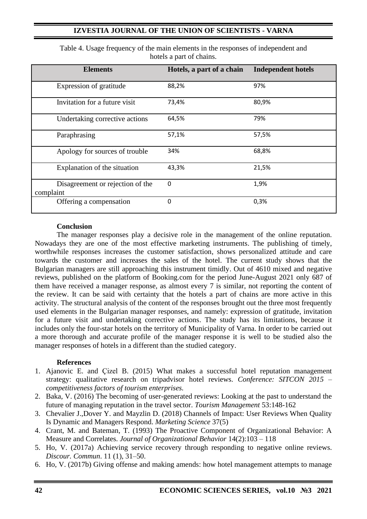| <b>Elements</b>                               | Hotels, a part of a chain | <b>Independent hotels</b> |
|-----------------------------------------------|---------------------------|---------------------------|
| Expression of gratitude                       | 88,2%                     | 97%                       |
| Invitation for a future visit                 | 73,4%                     | 80,9%                     |
| Undertaking corrective actions                | 64,5%                     | 79%                       |
| Paraphrasing                                  | 57,1%                     | 57,5%                     |
| Apology for sources of trouble                | 34%                       | 68,8%                     |
| Explanation of the situation                  | 43,3%                     | 21,5%                     |
| Disagreement or rejection of the<br>complaint | 0                         | 1,9%                      |
| Offering a compensation                       | 0                         | 0,3%                      |

Table 4. Usage frequency of the main elements in the responses of independent and hotels a part of chains.

#### **Conclusion**

The manager responses play a decisive role in the management of the online reputation. Nowadays they are one of the most effective marketing instruments. The publishing of timely, worthwhile responses increases the customer satisfaction, shows personalized attitude and care towards the customer and increases the sales of the hotel. The current study shows that the Bulgarian managers are still approaching this instrument timidly. Out of 4610 mixed and negative reviews, published on the platform of Booking.com for the period June-August 2021 only 687 of them have received a manager response, as almost every 7 is similar, not reporting the content of the review. It can be said with certainty that the hotels a part of chains are more active in this activity. The structural analysis of the content of the responses brought out the three most frequently used elements in the Bulgarian manager responses, and namely: expression of gratitude, invitation for a future visit and undertaking corrective actions. The study has its limitations, because it includes only the four-star hotels on the territory of Municipality of Varna. In order to be carried out a more thorough and accurate profile of the manager response it is well to be studied also the manager responses of hotels in a different than the studied category.

#### **References**

- 1. Ajanovic E. and Çizel B. (2015) What makes a successful hotel reputation management strategy: qualitative research on tripadvisor hotel reviews. *Conference: SITCON 2015 – competitiveness factors of tourism enterprises.*
- 2. Baka, V. (2016) The becoming of user-generated reviews: Looking at the past to understand the future of managing reputation in the travel sector. *Tourism Management* 53:148-162
- 3. Chevalier J.,Dover Y. and Mayzlin D. (2018) Channels of Impact: User Reviews When Quality Is Dynamic and Managers Respond. *Marketing Science* 37(5)
- 4. Crant, M. and Bateman, T. (1993) The Proactive Component of Organizational Behavior: A Measure and Correlates. *Journal of Organizational Behavior* 14(2):103 – 118
- 5. Ho, V. (2017a) Achieving service recovery through responding to negative online reviews. *Discour. Commun*. 11 (1), 31–50.
- 6. Ho, V. (2017b) Giving offense and making amends: how hotel management attempts to manage